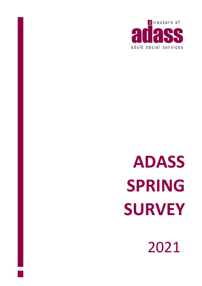

# **ADASS SPRING SURVEY**

2021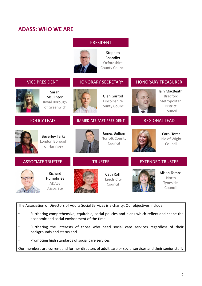# **ADASS: WHO WE ARE**

## PRESIDENT



Stephen Chandler Oxfordshire County Council

| <b>VICE PRESIDENT</b>                                  | <b>HONORARY SECRETARY</b>                            | <b>HONORARY TREASURER</b>                                                      |
|--------------------------------------------------------|------------------------------------------------------|--------------------------------------------------------------------------------|
| Sarah<br>McClinton<br>Royal Borough<br>of Greenwich    | Glen Garrod<br>Lincolnshire<br><b>County Council</b> | Iain MacBeath<br><b>Bradford</b><br>Metropolitan<br><b>District</b><br>Council |
| <b>POLICY LEAD</b>                                     | <b>IMMEDIATE PAST PRESIDENT</b>                      | <b>REGIONAL LEAD</b>                                                           |
| <b>Beverley Tarka</b><br>London Borough<br>of Haringey | James Bullion<br>Norfolk County<br>Council           | Carol Tozer<br>Isle of Wight<br>Council                                        |
| <b>ASSOCIATE TRUSTEE</b>                               | <b>TRUSTEE</b>                                       | <b>EXTENDED TRUSTEE</b>                                                        |
| Richard<br>Humphries<br><b>ADASS</b><br>Associate      | Cath Roff<br>Leeds City<br>Council                   | <b>Alison Tombs</b><br>North<br>Tyneside<br>Council                            |

The Association of Directors of Adults Social Services is a charity. Our objectives include:

- Furthering comprehensive, equitable, social policies and plans which reflect and shape the economic and social environment of the time
- Furthering the interests of those who need social care services regardless of their backgrounds and status and
- Promoting high standards of social care services

Our members are current and former directors of adult care or social services and their senior staff.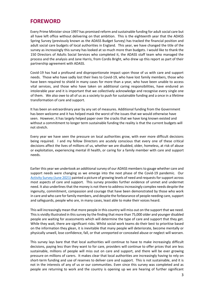## <span id="page-2-0"></span>**FOREWORD**

Every Prime Minister since 1997 has promised reform and sustainable funding for adult social care but all have left office without delivering on that ambition. This is the eighteenth year that the ADASS Spring Survey (previously known as the ADASS Budget Survey) has tracked the financial position and adult social care budgets of local authorities in England. This year, we have changed the title of the survey as increasingly this survey has looked at so much more than budgets. I would like to thank the 150 Directors of Adults Social Services who completed it, the ADASS staff team who managed the process and the analysis and Jane Harris, from Cordis Bright, who drew up this report as part of their partnership agreement with ADASS.

Covid-19 has had a profound and disproportionate impact upon those of us with care and support needs. Those who have sadly lost their lives to Covid-19, who have lost family members, those who have been required to shield in many cases for more than a year, who have been unable to access vital services, and those who have taken on additional caring responsibilities, have endured an intolerable year and it is important that we collectively acknowledge and recognise every single one of them. We also owe to all of us as a society to push for sustainable funding and a once in a lifetime transformation of care and support.

It has been an extraordinary year by any set of measures. Additional funding from the Government has been welcome and it has helped mask the worst of the issues that we would otherwise have seen. However, it has largely helped paper over the cracks that we have long known existed and without a commitment to longer term sustainable funding the reality is that the current budgets will not stretch.

Every year we have seen the pressure on local authorities grow, with ever more difficult decisions being required. I and my fellow Directors are acutely conscious that every one of these critical decisions affect the lives of millions of us, whether we are disabled, older, homeless, at risk of abuse or exploitation, experiencing mental ill health, or caring for a family member with care and support needs.

Earlier this year we undertook an additional survey of our ADASS members to gauge whether care and support needs were changing as we emerge into the next phase of the Covid-19 pandemic. Our [Activity Survey \(June 2021\)](https://www.adass.org.uk/media/8714/adass-activity-survey-2021-cpdf.pdf) painted a picture of growing levels of need and requests for support across most aspects of care and support. This survey provides further evidence of unmet and undermet need. It also underlines that the money is not there to address increasingly complex needs despite the ingenuity, commitment, compassion and courage that have been demonstrated by those who work in care and who care for family members, and despite the forbearance of people needing care, support and safeguards, people who are, in many cases, least able to make their voices heard.

This will increasingly mean that more people in this country will miss out on the support that we need. This is vividly illustrated in this survey by the finding that more than 75,000 older and younger disabled people are waiting for assessments which will determine the type of care and support that they get. While they wait, there are significant risks. Whilst social work teams do their best to prioritise based on the information they glean, it is inevitable that many people will deteriorate, become mentally or physically unwell, lose confidence, fall, or that unreported or concealed abuse or neglect will worsen.

This survey lays bare that that local authorities will continue to have to make increasingly difficult decisions, paying less than they want to for care, providers will continue to offer prices that are less sustainable, millions of people will miss out on care and support, and there will be ever growing pressure on millions of carers. It makes clear that local authorities are increasingly having to rely on short-term funding and use of reserves to deliver care and support. This is not sustainable, and it is not in the interests of any of us or our communities. Even since this survey was completed and as people are returning to work and the country is opening up we are hearing of further significant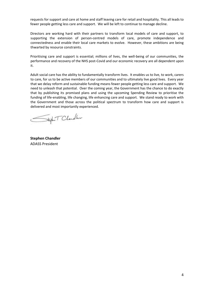requests for support and care at home and staff leaving care for retail and hospitality. This all leads to fewer people getting less care and support. We will be left to continue to manage decline.

Directors are working hard with their partners to transform local models of care and support, to supporting the extension of person-centred models of care, promote independence and connectedness and enable their local care markets to evolve. However, these ambitions are being thwarted by resource constraints.

Prioritising care and support is essential; millions of lives, the well-being of our communities, the performance and recovery of the NHS post-Covid and our economic recovery are all dependent upon it.

Adult social care has the ability to fundamentally transform lives. It enables us to live, to work, carers to care, for us to be active members of our communities and to ultimately live good lives. Every year that we delay reform and sustainable funding means fewer people getting less care and support. We need to unleash that potential. Over the coming year, the Government has the chance to do exactly that by publishing its promised plans and using the upcoming Spending Review to prioritise the funding of life-enabling, life changing, life enhancing care and support. We stand ready to work with the Government and those across the political spectrum to transform how care and support is delivered and most importantly experienced.

Sept T Chandler

**Stephen Chandler** ADASS President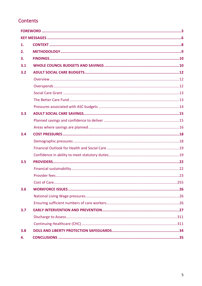# Contents

| 1.  |  |
|-----|--|
| 2.  |  |
| 3.  |  |
| 3.1 |  |
| 3.2 |  |
|     |  |
|     |  |
|     |  |
|     |  |
|     |  |
| 3.3 |  |
|     |  |
|     |  |
| 3.4 |  |
|     |  |
|     |  |
|     |  |
| 3.5 |  |
|     |  |
|     |  |
|     |  |
| 3.6 |  |
|     |  |
|     |  |
| 3.7 |  |
|     |  |
|     |  |
| 3.8 |  |
| 4.  |  |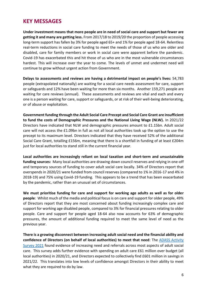# <span id="page-5-0"></span>**KEY MESSAGES**

**Under investment means that more people are in need of social care and support but fewer are getting it and many are getting less.** From 2017/18 to 2019/20 the proportion of people accessing long-term support has fallen by 3% for people aged 65+ and 1% for people aged 18-64. Relentless real-term reductions in social care funding to meet the needs of those of us who are older and disabled, care for family members or work in social care were apparent before the pandemic. Covid-19 has exacerbated this and hit those of us who are in the most vulnerable circumstances hardest. This will increase over the year to come. The levels of unmet and undermet need will continue to grow without urgent action from Government.

**Delays to assessments and reviews are having a detrimental impact on people's lives:** 54,783 people (extrapolated nationally) are waiting for a social care needs assessment for care, support or safeguards and 12% have been waiting for more than six months. Another 159,271 people are waiting for care reviews (annual). These assessments and reviews are vital and each and every one is a person waiting for care, support or safeguards, or at risk of their well-being deteriorating, or of abuse or exploitation.

**Government funding through the Adult Social Care Precept and Social Care Grant are insufficient to fund the costs of Demographic Pressures and the National Living Wage (NLW).** In 2021/22 Directors have indicated that NLW and demographic pressures amount to £1.15bn. Adult social care will not access the £1.09bn in full as not all local authorities took up the option to use the precept to its maximum level. Directors indicated that they have received 52% of the additional Social Care Grant, totalling £156m, meaning that there is a shortfall in funding of at least £204m just for local authorities to stand still in the current financial year.

**Local authorities are increasingly reliant on local taxation and short-term and unsustainable funding sources:** Many local authorities are drawing down council reserves and relying in one-off and temporary sources of funding to cover adult social care locally. 34% of Directors report that overspends in 2020/21 were funded from council reserves (compared to 1% in 2016-17 and 4% in 2018-19) and 75% using Covid-19 funding. This appears to be a trend that has been exacerbated by the pandemic, rather than an unusual set of circumstances.

**We must prioritise funding for care and support for working age adults as well as for older people**: Whilst much of the media and political focus is on care and support for older people, 49% of Directors report that they are most concerned about funding increasingly complex care and support for working age disabled people, compared to 3% for financial pressures relating to older people. Care and support for people aged 18-64 also now accounts for 63% of demographic pressures, the amount of additional funding required to meet the same level of need as the previous year.

**There is a growing disconnect between increasing adult social need and the financial ability and confidence of Directors (on behalf of local authorities) to meet that need**: The [ADASS Activity](https://www.adass.org.uk/media/8714/adass-activity-survey-2021-cpdf.pdf)  [Survey 2021](https://www.adass.org.uk/media/8714/adass-activity-survey-2021-cpdf.pdf) found evidence of increasing need and referrals across most aspects of adult social care. This survey adds further evidence with spending on adult care £61 million over budget (all local authorities) in 2020/21, and Directors expected to collectively find £601 million in savings in 2021/22. This translates into low levels of confidence amongst Directors in their ability to meet what they are required to do by law.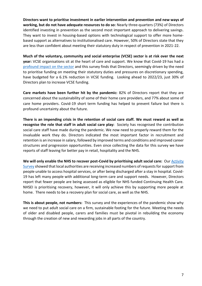**Directors want to prioritise investment in earlier intervention and prevention and new ways of working, but do not have adequate resources to do so:** Nearly three-quarters (73%) of Directors identified investing in prevention as the second most important approach to delivering savings. They want to invest in housing-based options with technological support to offer more homebased support as alternatives to institutionalised care. However, 50% of Directors state that they are less than confident about meeting their statutory duty in respect of prevention in 2021-22.

**Much of the voluntary, community and social enterprise (VCSE) sector is at risk over the next year:** VCSE organisations sit at the heart of care and support. We know that Covid-19 has had a [profound impact on the sector](https://www.nationalvoices.org.uk/sites/default/files/public/publications/briefing_impact_of_cv19_on_the_hc_vol_sector.pdf) and this survey finds that Directors, seemingly driven by the need to prioritise funding on meeting their statutory duties and pressures on discretionary spending, have budgeted for a 6.1% reduction in VCSE funding. Looking ahead to 2022/23, just 30% of Directors plan to increase VCSE funding.

**Care markets have been further hit by the pandemic:** 82% of Directors report that they are concerned about the sustainability of some of their home care providers, and 77% about some of care home providers. Covid-19 short term funding has helped to prevent failure but there is profound uncertainty about the future.

**There is an impending crisis in the retention of social care staff. We must reward as well as recognise the role that staff in adult social care play:** Society has recognised the contribution social care staff have made during the pandemic. We now need to properly reward them for the invaluable work they do. Directors indicated the most important factor in recruitment and retention is an increase in salary, followed by improved terms and conditions and improved career structures and progression opportunities. Even since collecting the data for this survey we have reports of staff leaving for better pay in retail, hospitality and the NHS.

**We will only enable the NHS to recover post-Covid by prioritising adult social care:** Our [Activity](https://www.adass.org.uk/media/8714/adass-activity-survey-2021-cpdf.pdf)  [Survey](https://www.adass.org.uk/media/8714/adass-activity-survey-2021-cpdf.pdf) showed that local authorities are receiving increased numbers of requests for support from people unable to access hospital services, or after being discharged after a stay in hospital. Covid-19 has left many people with additional long-term care and support needs. However, Directors report that fewer people are being assessed as eligible for NHS funded Continuing Health Care. NHSEI is prioritising recovery, however, it will only achieve this by supporting more people at home. There needs to be a recovery plan for social care, as well as the NHS.

**This is about people, not numbers:** This survey and the experiences of the pandemic show why we need to put adult social care on a firm, sustainable footing for the future. Meeting the needs of older and disabled people, carers and families must be pivotal in rebuilding the economy through the creation of new and rewarding jobs in all parts of the country.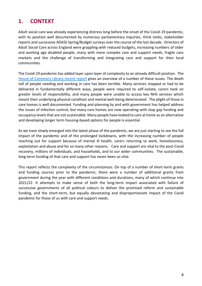# <span id="page-7-0"></span>**1. CONTEXT**

Adult social care was already experiencing distress long before the onset of the Covid-19 pandemic, with its position well documented by numerous parliamentary inquiries, think tanks, stakeholder reports and successive ADASS Spring/Budget surveys over the course of the last decade. Directors of Adult Social Care across England were grappling with reduced budgets, increasing numbers of older and working age disabled people, many with more complex care and support needs, fragile care markets and the challenge of transforming and integrating care and support for their local communities.

The Covid-19 pandemic has added layer upon layer of complexity to an already difficult position. The [House of Commons Library recent](https://researchbriefings.files.parliament.uk/documents/CBP-9019/CBP-9019.pdf) report gives an overview of a number of these issues. The death toll of people needing and working in care has been terrible. Many services stopped or had to be delivered in fundamentally different ways, people were required to self-isolate, carers took on greater levels of responsibility, and many people were unable to access key NHS services which meant their underlying physical condition and mental well-being deteriorated. The plight of those in care homes is well documented. Funding and planning by and with government has helped address the issues of infection control, but many care homes are now operating with stop gap funding and occupancy levels that are not sustainable. Many people have looked to care at home as an alternative and developing longer term housing-based options for people is essential.

As we have slowly emerged into the latest phase of the pandemic, we are just starting to see the full impact of the pandemic and of the prolonged lockdowns, with the increasing number of people reaching out for support because of mental ill health, carers returning to work, homelessness, exploitation and abuse and for so many other reasons. Care and support are vital to the post-Covid recovery, millions of individuals, and households, and to our wider communities. The sustainable, long-term funding of that care and support has never been so vital.

This report reflects the complexity of the circumstances. On top of a number of short-term grants and funding sources prior to the pandemic, there were a number of additional grants from government during the year with different conditions and durations, many of which continue into 2021/22. It attempts to make sense of both the long-term impact associated with failure of successive governments of all political colours to deliver the promised reform and sustainable funding, and the short-term, but equally devastating and disproportionate impact of the Covid pandemic for those of us with care and support needs.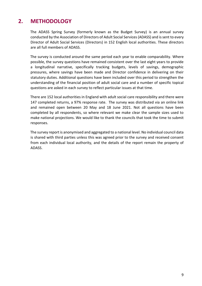# <span id="page-8-0"></span>**2. METHODOLOGY**

The ADASS Spring Survey (formerly known as the Budget Survey) is an annual survey conducted by the Association of Directors of Adult Social Services (ADASS) and is sent to every Director of Adult Social Services (Directors) in 152 English local authorities. These directors are all full members of ADASS.

The survey is conducted around the same period each year to enable comparability. Where possible, the survey questions have remained consistent over the last eight years to provide a longitudinal narrative, specifically tracking budgets, levels of savings, demographic pressures, where savings have been made and Director confidence in delivering on their statutory duties. Additional questions have been included over this period to strengthen the understanding of the financial position of adult social care and a number of specific topical questions are asked in each survey to reflect particular issues at that time.

There are 152 local authorities in England with adult social care responsibility and there were 147 completed returns, a 97% response rate. The survey was distributed via an online link and remained open between 20 May and 18 June 2021. Not all questions have been completed by all respondents, so where relevant we make clear the sample sizes used to make national projections. We would like to thank the councils that took the time to submit responses.

The survey report is anonymised and aggregated to a national level. No individual council data is shared with third parties unless this was agreed prior to the survey and received consent from each individual local authority, and the details of the report remain the property of ADASS.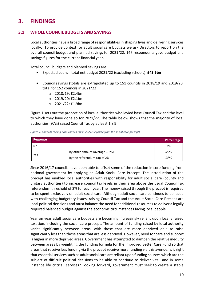# <span id="page-9-0"></span>**3. FINDINGS**

## <span id="page-9-1"></span>**3.1 WHOLE COUNCIL BUDGETS AND SAVINGS**

Local authorities have a broad range of responsibilities in shaping lives and delivering services locally. To provide context for adult social care budgets we ask Directors to report on the overall council budget and planned savings for 2021/22. 147 respondents gave budget and savings figures for the current financial year.

Total council budgets and planned savings are:

- Expected council total net budget 2021/22 (excluding schools): **£43.5bn**
- Council savings (totals are extrapolated up to 151 councils in 2018/19 and 2019/20, total for 152 councils in 2021/22):
	- o 2018/19: £2.4bn
	- o 2019/20: £2.1bn
	- o 2021/22: £1.9bn

Figure 1 sets out the proportion of local authorities who levied base Council Tax and the level to which they have done so for 2021/22. The table below shows that the majority of local authorities (97%) raised Council Tax by at least 1.8%.

*Figure 1: Councils raising base council tax in 2021/22 (aside from the social care precept)* 

| <b>Response</b> |                                | Percentage |
|-----------------|--------------------------------|------------|
| No              |                                | 3%         |
| Yes             | By other amount (average 1.8%) | 49%        |
|                 | By the referendum cap of 2%    | 48%        |

Since 2016/17 councils have been able to offset some of the reduction in core funding from national government by applying an Adult Social Care Precept. The introduction of the precept has enabled local authorities with responsibility for adult social care (county and unitary authorities) to increase council tax levels in their area above the usual Council Tax referendum threshold of 2% for each year. The money raised through the precept is required to be spent exclusively on adult social care. Although adult social care continues to be faced with challenging budgetary issues, raising Council Tax and the Adult Social Care Precept are local political decisions and must balance the need for additional resources to deliver a legally required balanced budget against the economic circumstances facing local people.

Year on year adult social care budgets are becoming increasingly reliant upon locally raised taxation, including the social care precept. The amount of funding raised by local authority varies significantly between areas, with those that are more deprived able to raise significantly less than those areas that are less deprived. However, need for care and support is higher in more deprived areas. Government has attempted to dampen the relative inequity between areas by weighting the funding formula for the Improved Better Care Fund so that areas that receive less funding via the precept receive more funding via this avenue. Is it right that essential services such as adult social care are reliant upon funding sources which are the subject of difficult political decisions to be able to continue to deliver vital, and in some instance life critical, services? Looking forward, government must seek to create a stable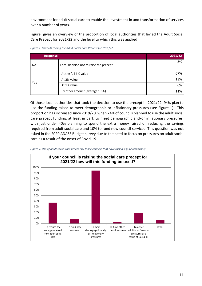environment for adult social care to enable the investment in and transformation of services over a number of years.

[Figure](#page-10-0) gives an overview of the proportion of local authorities that levied the Adult Social Care Precept for 2021/22 and the level to which this was applied.

| <b>Response</b> |                                         | 2021/22 |
|-----------------|-----------------------------------------|---------|
| No              | Local decision not to raise the precept | 3%      |
| Yes             | At the full 3% value                    | 67%     |
|                 | At 2% value                             | 13%     |
|                 | At 1% value                             | 6%      |
|                 | By other amount (average 1.6%)          | 11%     |

<span id="page-10-0"></span>*Figure 2: Councils raising the Adult Social Care Precept for 2021/22*

Of those local authorities that took the decision to use the precept in 2021/22, 94% plan to use the funding raised to meet demographic or inflationary pressures (see [Figure 1\)](#page-10-1). This proportion has increased since 2019/20, when 74% of councils planned to use the adult social care precept funding, at least in part, to meet demographic and/or inflationary pressures, with just under 40% planning to spend the extra money raised on reducing the savings required from adult social care and 10% to fund new council services. This question was not asked in the 2020 ADASS Budget survey due to the need to focus on pressures on adult social care as a result of the onset of Covid-19.

<span id="page-10-1"></span>

*Figure 1: Use of adult social care precept by those councils that have raised it (142 responses)*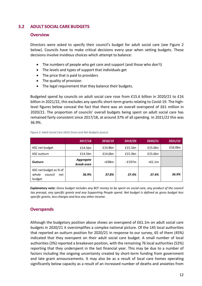## <span id="page-11-1"></span><span id="page-11-0"></span>**3.2 ADULT SOCIAL CARE BUDGETS**

## **Overview**

Directors were asked to specify their council's budget for adult social care (see [Figure 2](#page-11-3) below). Councils have to make critical decisions every year when setting budgets. These decisions involve invidious choices which attempt to balance:

- The numbers of people who get care and support (and those who don't)
- The levels and types of support that individuals get
- The price that is paid to providers
- The quality of provision
- The legal requirement that they balance their budgets.

Budgeted spend by councils on adult social care rose from £15.6 billion in 2020/21 to £16 billion in 2021/22, this excludes any specific short-term grants relating to Covid-19. The highlevel figures below conceal the fact that there was an overall overspend of £61 million in 2020/21. The proportion of councils' overall budgets being spent on adult social care has remained fairly consistent since 2017/18, at around 37% of all spending. In 2021/22 this was 36.9%.

|                                                             | 2017/18                 | 2018/19 | 2019/20      | 2020/21  | 2021/22 |
|-------------------------------------------------------------|-------------------------|---------|--------------|----------|---------|
| ASC net budget                                              | £14.5bn                 | £14.8bn | £15.1bn      | £15.6bn  | £16.0bn |
| ASC outturn                                                 | £14.5bn                 | £14.6bn | £15.3bn      | £15.6bn  |         |
| Outturn                                                     | Aggregate<br>break-even | $+£98m$ | $-$ £197 $m$ | $+61.1m$ |         |
| ASC net budget as % of<br>council<br>whole<br>net<br>budget | 36.9%                   | 37.8%   | 37.4%        | 37.4%    | 36.9%   |

#### <span id="page-11-3"></span>*Figure 2: Adult Social Care (ASC) Gross and Net Budgets [years]*

*Explanatory note: Gross budget includes any BCF money to be spent on social care, any product of the council tax precept, any specific grants and any Supporting People spend. Net budget is defined as gross budget less specific grants, less charges and less any other income.*

## <span id="page-11-2"></span>**Overspends**

Although the budgetary position above shows an overspend of £61.1m on adult social care budgets in 2020/21 it oversimplifies a complex national picture. Of the 145 local authorities that reported an outturn position for 2020/21 in response to our survey, 65 of them (45%) indicated that they overspent on their adult social care budget. A small number of local authorities (3%) reported a breakeven position, with the remaining 76 local authorities (52%) reporting that they underspent in the last financial year. This may be due to a number of factors including the ongoing uncertainty created by short-term funding from government and late grant announcements. It may also be as a result of local care homes operating significantly below capacity as a result of an increased number of deaths and anxieties from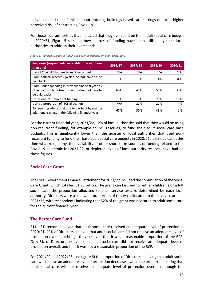individuals and their families about entering buildings-based care settings due to a higher perceived risk of contracting Covid-19.

For those local authorities that indicated that they overspent on their adult social care budget in 2020/21, Figure 5 sets out how sources of funding have been utilised by their local authorities to address their overspends.

| Response (respondents were able to select more<br>than one)                                                             | 2016/17 | 2017/18 | 2018/19 | 2020/21 |
|-------------------------------------------------------------------------------------------------------------------------|---------|---------|---------|---------|
| Use of Covid-19 funding from Government                                                                                 | N/A     | N/A     | N/A     | 75%     |
| From council reserves (which do not have to be<br>paid back)                                                            | 1%      | 1%      | 4%      | 34%     |
| From under spending in previous financial year by<br>other council departments (which does not have to<br>be paid back) | 66%     | 41%     | 51%     | 30%     |
| Other one-off sources of funding                                                                                        | 9%      | 8%      | 25%     | 16%     |
| Using a proportion of iBCF allocation                                                                                   | N/A     | 27%     | 27%     | 4%      |
| By requiring adult social care to pay back by making<br>additional savings in the following financial year              | 67%     | 50%     | 43%     | 1%      |

*Figure 3: Planned sources of funding to cover overspends on adult social care*

For the current financial year, 2021/22, 12% of local authorities said that they would be using non-recurrent funding, for example council reserves, to fund their adult social care base budgets. This is significantly lower than the quarter of local authorities that used nonrecurrent funding to fund their base adult social care budgets in 2020/21. It is not clear at this time what role, if any, the availability of other short-term sources of funding related to the Covid-19 pandemic for 2021-22, or depleted levels of local authority reserves have had on these figures.

## <span id="page-12-0"></span>**Social Care Grant**

The Local Government Finance Settlement for 2021/22 included the continuation of the Social Care Grant, which totalled £1.71 billion. The grant can be used for either children's or adult social care, the proportion allocated to each service area is determined by each local authority. Directors were asked what proportion of this was allocated to their service area in 2021/22, with respondents indicating that 52% of the grant was allocated to adult social care for the current financial year.

## <span id="page-12-1"></span>**The Better Care Fund**

51% of Directors believed that adult social care received an adequate level of protection in 2020/21. 40% of Directors believed that adult social care did not receive an adequate level of protection overall, although they believed that it was a reasonable proportion of the BCF. Only 8% of Directors believed that adult social care did not receive an adequate level of protection overall, and that it was not a reasonable proportion of the BCF.

For 2021/22 and 2022/23 (see figure 6) the proportion of Directors believing that adult social care will receive an adequate level of protection decreases, while the proportion stating that adult social care will not receive an adequate level of protection overall (although the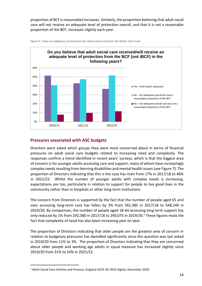proportion of BCF is reasonable) increases. Similarly, the proportion believing that adult social care will not receive an adequate level of protection overall, and that it is not a reasonable proportion of the BCF, increases slightly each year.





## <span id="page-13-0"></span>**Pressures associated with ASC budgets**

Directors were asked which groups they were most concerned about in terms of financial pressures on adult social care budgets related to increasing need and complexity. The responses confirm a trend identified in recent years' surveys, which is that the biggest area of concern is for younger adults accessing care and support, many of whom have increasingly complex needs resulting from learning disabilities and mental health issues (see Figure 7). The proportion of Directors indicating that this is the case has risen from 17% in 2017/18 to 40% in 2021/22. Whilst the number of younger adults with complex needs is increasing, expectations are too, particularly in relation to support for people to live good lives in the community rather than in hospitals or other long-term institutions.

The concern from Directors is supported by the fact that the number of people aged 65 and over accessing long-term care has fallen by 3% from 565,385 in 2017/18 to 548,540 in 2019/20. By comparison, the number of people aged 18-64 accessing long-term support has only reduced by 1% from 292,380 in 2017/18 to 290,075 in 2019/20.<sup>1</sup> These figures mask the fact that complexity of need has also been increasing year on year.

The proportion of Directors indicating that older people are the greatest area of concern in relation to budgetary pressures has dwindled significantly since this question was last asked in 2019/20 from 11% to 3%. The proportion of Directors indicating that they are concerned about older people and working age adults in equal measure has increased slightly since 2019/20 from 51% to 54% in 2021/22.

<sup>1</sup> Adult Social Care Activity and Finance: England 2019-20, NHS Digital, December 2020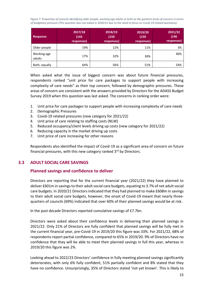*Figure 7: Proportion of councils identifying older people, working age adults or both as the greatest areas of concern in terms of budgetary pressure (This question was not asked in 2020/21 due to the need to focus on Covid-19 related questions)*

| <b>Response</b>       | 2017/18<br>(143)<br>responses) | 2018/19<br>(150)<br>responses) | 2019/20<br>(150)<br>responses) | 2021/22<br>(146)<br>responses) |
|-----------------------|--------------------------------|--------------------------------|--------------------------------|--------------------------------|
| Older people          | 19%                            | 12%                            | 11%                            | 3%                             |
| Working-age<br>adults | 17%                            | 32%                            | 39%                            | 40%                            |
| Both, equally         | 64%                            | 56%                            | 51%                            | 54%                            |

When asked what the issue of biggest concern was about future financial pressures, respondents ranked "unit price for care packages to support people with increasing complexity of care needs" as their top concern, followed by demographic pressures. These areas of concern are consistent with the answers provided by Directors for the ADASS Budget Survey 2019 when this question was last asked. The concerns in ranking order were:

- 1. Unit price for care packages to support people with increasing complexity of care needs
- 2. Demographic Pressures
- 3. Covid-19 related pressures (new category for 2021/22)
- 4. Unit price of care relating to staffing costs (NLW)
- 5. Reduced occupancy/client levels driving up costs (new category for 2021/22)
- 6. Reducing capacity in the market driving up costs
- 7. Unit price of care increasing for other reasons

Respondents also identified the impact of Covid-19 as a significant area of concern on future financial pressures, with this new category ranked 3rd by Directors.

## <span id="page-14-1"></span><span id="page-14-0"></span>**3.3 ADULT SOCIAL CARE SAVINGS**

## **Planned savings and confidence to deliver**

Directors are reporting that for the current financial year (2021/22) they have planned to deliver £601m in savings to their adult social care budgets, equating to 3.7% of net adult social care budgets. In 2020/21 Directors indicated that they had planned to make £608m in savings to their adult social care budgets, however, the onset of Covid-19 meant that nearly threequarters of councils (69%) indicated that over 60% of their planned savings would be at risk.

In the past decade Directors reported cumulative savings of £7.7bn.

Directors were asked about their confidence levels in delivering their planned savings in 2021/22. Only 21% of Directors are fully confident that planned savings will be fully met in the current financial year, pre-Covid-19 in 2019/20 this figure was 33%. For 2021/22, 68% of respondents report partial confidence, compared to 65% in 2019/20. 9% of Directors have no confidence that they will be able to meet their planned savings in full this year, whereas in 2019/20 this figure was 2%.

Looking ahead to 2022/23 Directors' confidence in fully meeting planned savings significantly deteriorates, with only 6% fully confident, 51% partially confident and 8% stated that they have no confidence. Unsurprisingly, 35% of Directors stated 'not yet known'. This is likely to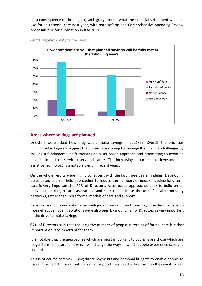be a consequence of the ongoing ambiguity around what the financial settlement will look like for adult social care next year, with both reform and Comprehensive Spending Review proposals due for publication in late 2021.





## <span id="page-15-0"></span>**Areas where savings are planned**

Directors were asked how they would make savings in 2021/22. Overall, the priorities highlighted in Figure 9 suggest that councils are trying to manage the financial challenges by making a fundamental shift towards an asset-based approach and attempting to avoid an adverse impact on service users and carers. The increasing importance of investment in assistive technology is a notable trend in recent years.

On the whole results were highly consistent with the last three years' findings. Developing asset-based and self-help approaches to reduce the numbers of people needing long-term care is very important for 77% of Directors. Asset-based approaches seek to build on an individual's strengths and aspirations and seek to maximise the use of local community networks, rather than more formal models of care and support.

Assistive and communications technology and working with housing providers to develop more effective housing solutions were also seen by around half of Directors as very important in the drive to make savings.

67% of Directors said that reducing the number of people in receipt of formal care is either important or very important for them.

It is notable that the approaches which are most important to councils are those which are longer term in nature, and which will change the ways in which people experience care and support.

This is of course complex. Using direct payments and personal budgets to enable people to make informed choices about the kind of support they need to live the lives they want to lead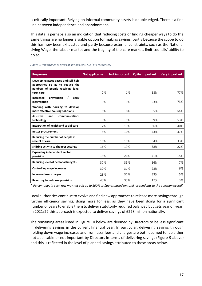is critically important. Relying on informal community assets is double edged. There is a fine line between independence and abandonment.

This data is perhaps also an indication that reducing costs or finding cheaper ways to do the same things are no longer a viable option for making savings, partly because the scope to do this has now been exhausted and partly because external constraints, such as the National Living Wage, the labour market and the fragility of the care market, limit councils' ability to do so.

| <b>Responses</b>                                                       | <b>Not applicable</b> | <b>Not important</b> | <b>Quite important</b> | <b>Very important</b> |
|------------------------------------------------------------------------|-----------------------|----------------------|------------------------|-----------------------|
| Developing asset-based and self-help<br>approaches so as to reduce the |                       |                      |                        |                       |
| numbers of people receiving long-<br>term care                         | 2%                    | 1%                   | 18%                    | 77%                   |
| prevention<br>I<br>early<br><b>Increased</b><br>intervention           | 3%                    | 1%                   | 23%                    | 73%                   |
| Working with housing to develop<br>more effective housing solutions    | 5%                    | 6%                   | 35%                    | 54%                   |
| <b>Assistive</b><br>and<br>communications<br>technology                | 3%                    | 5%                   | 39%                    | 53%                   |
| Integration of health and social care                                  | 7%                    | 13%                  | 36%                    | 40%                   |
| <b>Better procurement</b>                                              | 8%                    | 10%                  | 43%                    | 37%                   |
| Reducing the number of people in<br>receipt of care                    | 15%                   | 15%                  | 34%                    | 33%                   |
| Shifting activity to cheaper settings                                  | 16%                   | 19%                  | 38%                    | 22%                   |
| <b>Expanding independent sector</b><br>provision                       | 15%                   | 26%                  | 41%                    | 15%                   |
| Reducing level of personal budgets                                     | 37%                   | 35%                  | 16%                    | 7%                    |
| <b>Controlling wage increases</b>                                      | 30%                   | 31%                  | 28%                    | 6%                    |
| <b>Increased user charges</b>                                          | 28%                   | 31%                  | 33%                    | 5%                    |
| Reverting to in-house provision                                        | 43%                   | 35%                  | 17%                    | 3%                    |

#### *Figure 9: Importance of areas of savings 2021/22 (144 responses)*

*\* Percentages in each row may not add up to 100% as figures based on total respondents to the question overall.* 

Local authorities continue to evolve and find new approaches to release more savings through further efficiency savings, doing more for less, as they have been doing for a significant number of years to enable them to deliver statutorily required balanced budgets year on year. In 2021/22 this approach is expected to deliver savings of £228 million nationally.

The remaining areas listed in Figure 10 below are deemed by Directors to be less significant in delivering savings in the current financial year. In particular, delivering savings through holding down wage increases and from user fees and charges are both deemed to be either not applicable or not important by Directors in terms of delivering savings (Figure 9 above) and this is reflected in the level of planned savings attributed to these areas below.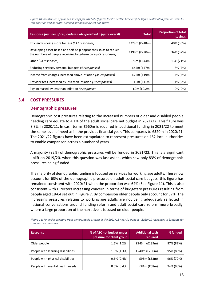*Figure 10: Breakdown of planned savings for 2021/22 (figures for 2019/20 in brackets)- % figures calculated from answers to this question and not total planned savings figure set out above*

| Response (number of respondents who provided a figure over 0)                                                                    | <b>Total</b>     | <b>Proportion of total</b><br>savings |
|----------------------------------------------------------------------------------------------------------------------------------|------------------|---------------------------------------|
| Efficiency - doing more for less (112 responses)                                                                                 | £228m(E248m)     | 40% (36%)                             |
| Developing asset-based and self-help approaches so as to reduce<br>the numbers of people receiving long-term care (85 responses) | £198m(E220m)     | 34% (32%)                             |
| Other (54 responses)                                                                                                             | $E76m$ (£144m)   | 13% (21%)                             |
| Reducing services/personal budgets (40 responses)                                                                                | $E44m$ (£47m)    | 8% (7%)                               |
| Income from charges increased above inflation (35 responses)                                                                     | £22m (£19m)      | 4% (3%)                               |
| Provider fees increased by less than inflation (10 responses)                                                                    | $f6m$ ( $f11m$ ) | 1% (2%)                               |
| Pay increased by less than inflation (0 response)                                                                                | $f$ (fo.2m)      | $0\%$ (0%)                            |

## <span id="page-17-1"></span><span id="page-17-0"></span>**3.4 COST PRESSURES**

## **Demographic pressures**

Demographic cost pressures relating to the increased numbers of older and disabled people needing care equate to 4.1% of the adult social care net budget in 2021/22. This figure was 3.3% in 2020/21. In cash terms £660m is required in additional funding in 2021/22 to meet the same level of need as in the previous financial year. This compares to £520m in 2020/21. The 2021/22 figures have been extrapolated to represent pressures on 152 local authorities to enable comparison across a number of years.

A majority (92%) of demographic pressures will be funded in 2021/22. This is a significant uplift on 2019/20, when this question was last asked, which saw only 83% of demographic pressures being funded.

The majority of demographic funding is focused on services for working age adults. These now account for 63% of the demographic pressures on adult social care budgets, this figure has remained consistent with 2020/21 when the proportion was 64% (See Figure 11). This is also consistent with Directors increasing concern in terms of budgetary pressures resulting from people aged 18-64 set out in Figure 7. By comparison older people only account for 37%. The increasing pressures relating to working age adults are not being adequately reflected in national conversations around funding reform and adult social care reform more broadly, where a large proportion of the narrative is focused on older people.

| <b>Response</b>                   | % of ASC net budget under<br>pressure for client group | <b>Additional cash</b><br>required | % funded  |
|-----------------------------------|--------------------------------------------------------|------------------------------------|-----------|
| Older people                      | $1.5\%$ (1.2%)                                         | £243m (£189m)                      | 87% (82%) |
| People with learning disabilities | $1.5\%$ (1.3%)                                         | £240m (£200m)                      | 95% (86%) |
| People with physical disabilities | $0.6\%$ (0.4%)                                         | £95m (£63m)                        | 96% (70%) |
| People with mental health needs   | $0.5\%$ (0.4%)                                         | £81m (£68m)                        | 94% (93%) |

*Figure 11: Financial pressure from demographic growth in the 2021/22 net ASC budget– 2020/21 responses in brackets for comparative purposes*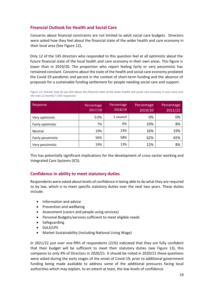## <span id="page-18-0"></span>**Financial Outlook for Health and Social Care**

Concerns about financial constraints are not limited to adult social care budgets. Directors were asked how they feel about the financial state of the wider health and care economy in their local area (See Figure 12)**.** 

Only 12 of the 145 directors who responded to this question feel at all optimistic about the future financial state of the local health and care economy in their own areas. This figure is lower than in 2019/20. The proportion who report feeling fairly or very pessimistic has remained constant. Concerns about the state of the health and social care economy predated the Covid-19 pandemic and persist in the context of short-term funding and the absence of proposals for a sustainable funding settlement for people needing social care and support.

*Figure 12: Overall, how do you feel about the financial state of the wider health and social care economy in your area over the next 12 months? (145 responses)*

| Response           | Percentage<br>2017/18 | Percentage<br>2018/19 | Percentage<br>2019/20 | Percentage<br>2021/22 |
|--------------------|-----------------------|-----------------------|-----------------------|-----------------------|
| Very optimistic    | 0.0%                  | 1 council             | 0%                    | 0%                    |
| Fairly optimistic  | 7%                    | 6%                    | 10%                   | 8%                    |
| <b>Neutral</b>     | 19%                   | 23%                   | 16%                   | 19%                   |
| Fairly pessimistic | 56%                   | 58%                   | 62%                   | 65%                   |
| Very pessimistic   | 19%                   | 13%                   | 12%                   | 8%                    |

This has potentially significant implications for the development of cross-sector working and Integrated Care Systems (ICS).

## <span id="page-18-1"></span>**Confidence in ability to meet statutory duties**

Respondents were asked about levels of confidence in being able to do what they are required to by law, which is to meet specific statutory duties over the next two years. These duties include:

- Information and advice
- Prevention and wellbeing
- Assessment (carers and people using services)
- Personal Budgets/services sufficient to meet eligible needs
- Safeguarding
- DoLS/LPS
- Market Sustainability (including National Living Wage)

In 2021/22 just over one-fifth of respondents (21%) indicated that they are fully confident that their budget will be sufficient to meet their statutory duties (see Figure 13), this compares to only 4% of Directors in 2020/21. It should be noted in 2020/21 these questions were asked during the early stages of the onset of Covid-19, prior to additional government funding being made available to address some of the additional pressures facing local authorities which may explain, to an extent at least, the low levels of confidence.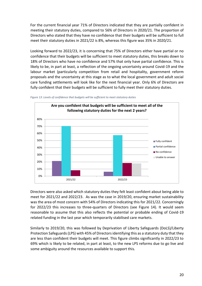For the current financial year 71% of Directors indicated that they are partially confident in meeting their statutory duties, compared to 56% of Directors in 2020/21. The proportion of Directors who stated that they have no confidence that their budgets will be sufficient to full meet their statutory duties in 2021/22 is 8%, whereas this figure was 35% in 2020/21.

Looking forward to 2022/23, it is concerning that 75% of Directors either have partial or no confidence that their budgets will be sufficient to meet statutory duties, this breaks down to 18% of Directors who have no confidence and 57% that only have partial confidence. This is likely to be, in part at least, a reflection of the ongoing uncertainty around Covid-19 and the labour market (particularly competition from retail and hospitality, government reform proposals and the uncertainty at this stage as to what the local government and adult social care funding settlements will look like for the next financial year. Only 6% of Directors are fully confident that their budgets will be sufficient to fully meet their statutory duties.





Directors were also asked which statutory duties they felt least confident about being able to meet for 2021/22 and 2022/23. As was the case in 2019/20, ensuring market sustainability was the area of most concern with 54% of Directors indicating this for 2021/22. Concerningly for 2022/23 this increases to three-quarters of Directors (see Figure 14). It would seem reasonable to assume that this also reflects the potential or probable ending of Covid-19 related funding in the last year which temporarily stabilised care markets.

Similarly to 2019/20, this was followed by Deprivation of Liberty Safeguards (DoLS)/Liberty Protection Safeguards (LPS) with 45% of Directors identifying this as a statutory duty that they are less than confident their budgets will meet. This figure climbs significantly in 2022/23 to 69% which is likely to be related, in part at least, to the new LPS reforms due to go live and some ambiguity around the resources available to support this.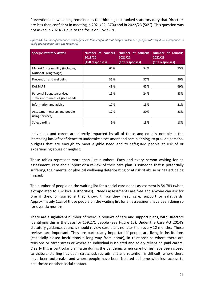Prevention and wellbeing remained as the third highest ranked statutory duty that Directors are less than confident in meeting in 2021/22 (37%) and in 2022/23 (50%). This question was not asked in 2020/21 due to the focus on Covid-19.

| <b>Specific statutory duties</b>                               | <b>Number of councils</b><br>2019/20<br>(150 responses) | Number of councils<br>2021/22<br>(131 responses) | <b>Number of councils</b><br>2022/23<br>(131 responses) |
|----------------------------------------------------------------|---------------------------------------------------------|--------------------------------------------------|---------------------------------------------------------|
| Market Sustainability (including<br>National Living Wage)      | 62%                                                     | 54%                                              | 75%                                                     |
| Prevention and wellbeing                                       | 35%                                                     | 37%                                              | 50%                                                     |
| DoLS/LPS                                                       | 43%                                                     | 45%                                              | 69%                                                     |
| Personal Budgets/services<br>sufficient to meet eligible needs | 15%                                                     | 24%                                              | 33%                                                     |
| Information and advice                                         | 17%                                                     | 15%                                              | 21%                                                     |
| Assessment (carers and people)<br>using services)              | 17%                                                     | 20%                                              | 23%                                                     |
| Safeguarding                                                   | 9%                                                      | 13%                                              | 18%                                                     |

Figure 14: Number of respondents who feel less than confident that budgets will meet specific statutory duties (respondents *could choose more than one response)*

Individuals and carers are directly impacted by all of these and equally notable is the increasing lack of confidence to undertake assessment and care planning, to provide personal budgets that are enough to meet eligible need and to safeguard people at risk of or experiencing abuse or neglect.

These tables represent more than just numbers. Each and every person waiting for an assessment, care and support or a review of their care plan is someone that is potentially suffering, their mental or physical wellbeing deteriorating or at risk of abuse or neglect being missed.

The number of people on the waiting list for a social care needs assessment is 54,783 (when extrapolated to 152 local authorities). Needs assessments are free and anyone can ask for one if they, or someone they know, thinks they need care, support or safeguards. Approximately 12% of those people on the waiting list for an assessment have been doing so for over six months.

There are a significant number of overdue reviews of care and support plans, with Directors identifying this is the case for 159,271 people (See Figure 15). Under the Care Act 2014's statutory guidance, councils should review care plans no later than every 12 months. These reviews are important. They are particularly important if people are living in institutions (especially closed institutions a long way from home), in relationships where there are tensions or carer stress or where an individual is isolated and solely reliant on paid carers. Clearly this is particularly an issue during the pandemic when care homes have been closed to visitors, staffing has been stretched, recruitment and retention is difficult, where there have been outbreaks, and where people have been isolated at home with less access to healthcare or other social contact.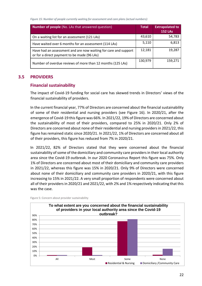*Figure 15: Number of people currently waiting for assessment and care plans (actual numbers):*

| <b>Number of people</b> (No. LAs that answered question)                                                       | <b>Total</b> | <b>Extrapolated to</b><br><b>152 LAs</b> |
|----------------------------------------------------------------------------------------------------------------|--------------|------------------------------------------|
| On a waiting list for an assessment (121 LAs)                                                                  | 43,610       | 54,783                                   |
| Have waited over 6 months for an assessment (114 LAs)                                                          | 5,110        | 6,813                                    |
| Have had an assessment and are now waiting for care and support<br>or for a direct payment to be made (96 LAs) | 12,181       | 19,287                                   |
| Number of overdue reviews of more than 12 months (125 LAs)                                                     | 130,979      | 159,271                                  |

## <span id="page-21-1"></span><span id="page-21-0"></span>**3.5 PROVIDERS**

## **Financial sustainability**

The impact of Covid-19 funding for social care has skewed trends in Directors' views of the financial sustainability of providers.

In the current financial year, 77% of Directors are concerned about the financial sustainability of some of their residential and nursing providers (see Figure 16). In 2020/21, after the emergence of Covid-19 this figure was 66%. In 2021/22, 19% of Directors are concerned about the sustainability of most of their providers, compared to 25% in 2020/21. Only 2% of Directors are concerned about none of their residential and nursing providers in 2021/22, this figure has remained static since 2020/21. In 2021/22, 1% of Directors are concerned about all of their providers, this figure has reduced from 7% in 2020/21.

In 2021/22, 82% of Directors stated that they were concerned about the financial sustainability of some of the domiciliary and community care providers in their local authority area since the Covid-19 outbreak. In our 2020 Coronavirus Report this figure was 75%. Only 1% of Directors are concerned about most of their domiciliary and community care providers in 2021/22, whereas this figure was 15% in 2020/21. Only 9% of Directors were concerned about none of their domiciliary and community care providers in 2020/21, with this figure increasing to 15% in 2021/22. A very small proportion of respondents were concerned about all of their providers in 2020/21 and 2021/22, with 2% and 1% respectively indicating that this was the case.



Figure 5: Concern about provider sustainability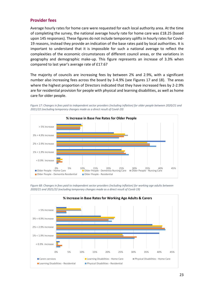## <span id="page-22-0"></span>**Provider fees**

Average hourly rates for home care were requested for each local authority area. At the time of completing the survey, the national average hourly rate for home care was £18.25 (based upon 145 responses). These figures do not include temporary uplifts in hourly rates for Covid-19 reasons, instead they provide an indication of the base rates paid by local authorities. It is important to understand that it is impossible for such a national average to reflect the complexities of the economic circumstances of different council areas, or the variations in geography and demographic make-up. This figure represents an increase of 3.3% when compared to last year's average rate of £17.67

The majority of councils are increasing fees by between 2% and 2.9%, with a significant number also increasing fees across the board by 3-4.9% (see Figures 17 and 18). The areas where the highest proportion of Directors indicated that they have increased fees by 2-2.9% are for residential provision for people with physical and learning disabilities, as well as home care for older people.



*Figure 17: Changes in fees paid to independent sector providers (including inflation) for older people between 2020/21 and 2021/22 (excluding temporary changes made as a direct result of Covid-19)*

*Figure 68: Changes in fees paid to independent sector providers (including inflation) for working age adults between 2020/21 and 2021/22 (excluding temporary changes made as a direct result of Covid-19)*

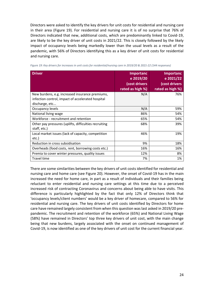Directors were asked to identify the key drivers for unit costs for residential and nursing care in their area (Figure 19). For residential and nursing care it is of no surprise that 76% of Directors indicated that new, additional costs, which are predominantly linked to Covid-19, are likely to be the key driver of unit costs in 2021/22. This is closely followed by the likely impact of occupancy levels being markedly lower than the usual levels as a result of the pandemic, with 56% of Directors identifying this as a key driver of unit costs for residential and nursing care.

| <b>Driver</b>                                         | <b>Importanc</b><br>e 2019/20<br>(cost drivers | <b>Importanc</b><br>e 2021/22<br>(cost drivers |
|-------------------------------------------------------|------------------------------------------------|------------------------------------------------|
|                                                       | rated as high %)                               | rated as high %)                               |
| New burdens, e.g. increased insurance premiums,       | N/A                                            | 76%                                            |
| infection control, impact of accelerated hospital     |                                                |                                                |
| discharge, etc                                        |                                                |                                                |
| Occupancy levels                                      | N/A                                            | 59%                                            |
| National living wage                                  | 86%                                            | 54%                                            |
| Workforce - recruitment and retention                 | 65%                                            | 54%                                            |
| Other pay pressures (uplifts, difficulties recruiting | 68%                                            | 39%                                            |
| staff, etc.)                                          |                                                |                                                |
| Local market issues (lack of capacity, competition    | 46%                                            | 19%                                            |
| etc.)                                                 |                                                |                                                |
| Reduction in cross subsidisation                      | 9%                                             | 18%                                            |
| Overheads (food costs, rent, borrowing costs etc.)    | 16%                                            | 16%                                            |
| Premia to cover winter pressures, quality issues      | 12%                                            | 8%                                             |
| <b>Travel time</b>                                    | 7%                                             | 1%                                             |

*Figure 19: Key drivers for increases in unit costs for residential/nursing care in 2019/20 & 2021-22 (144 responses)*

There are some similarities between the key drivers of unit costs identified for residential and nursing care and home care (see Figure 20). However, the onset of Covid-19 has in the main increased the need for home care, in part as a result of individuals and their families being reluctant to enter residential and nursing care settings at this time due to a perceived increased risk of contracting Coronavirus and concerns about being able to have visits. This difference is particularly highlighted by the fact that only 12% of Directors think that 'occupancy levels/client numbers' would be a key driver of homecare, compared to 56% for residential and nursing care. The key drivers of unit costs identified by Directors for home care have remained largely consistent from when this question was last asked in 2019/20 prepandemic. The recruitment and retention of the workforce (65%) and National Living Wage (58%) have remained in Directors' top three key drivers of unit cost, with the main change being that new burdens, largely associated with the onset on continued management of Covid-19, is now identified as one of the key drivers of unit cost for the current financial year.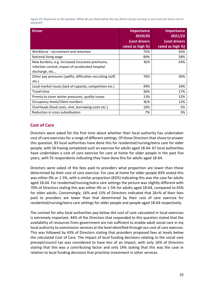*Figure 20: Responses to the question 'What do you think will be the key drivers of any increase in unit costs for home care in 2019/20?'*

| <b>Driver</b>                                                                                                          | <b>Importance</b><br>2019/20<br>(cost drivers<br>rated as high %) | <b>Importance</b><br>2021/22<br>(cost drivers<br>rated as high %) |
|------------------------------------------------------------------------------------------------------------------------|-------------------------------------------------------------------|-------------------------------------------------------------------|
| Workforce - recruitment and retention                                                                                  | 75%                                                               | 65%                                                               |
| National living wage                                                                                                   | 89%                                                               | 58%                                                               |
| New burdens, e.g. increased insurance premiums,<br>infection control, impact of accelerated hospital<br>discharge, etc | N/A                                                               | 54%                                                               |
| Other pay pressures (uplifts, difficulties recruiting staff,<br>etc.)                                                  | 76%                                                               | 50%                                                               |
| Local market issues (lack of capacity, competition etc.)                                                               | 49%                                                               | 24%                                                               |
| <b>Travel time</b>                                                                                                     | 36%                                                               | 17%                                                               |
| Premia to cover winter pressures, quality issues                                                                       | 13%                                                               | 12%                                                               |
| Occupancy levels/Client numbers                                                                                        | N/A                                                               | 12%                                                               |
| Overheads (food costs, rent, borrowing costs etc.)                                                                     | 10%                                                               | 5%                                                                |
| Reduction in cross subsidisation                                                                                       | 7%                                                                | 3%                                                                |

## <span id="page-24-0"></span>**Cost of Care**

Directors were asked for the first time about whether their local authority has undertaken cost of care exercises for a range of different settings. Of those Directors that chose to answer this question, 83 local authorities have done this for residential/nursing/extra care for older people, with 56 having completed such an exercise for adults aged 18-64. 67 local authorities have undertaken a cost of care exercise for care at home for older people in the past five years, with 55 respondents indicating they have done this for adults aged 18-64.

Directors were asked of the fees paid to providers what proportion are lower than those determined by their cost of care exercise. For care at home for older people 83% stated this was either 0% or 1-5%, with a similar proportion (82%) indicating this was the case for adults aged 18-64. For residential/nursing/extra care settings the picture was slightly different with 70% of Directors stating this was either 0% or 1-5% for adults aged 18-64, compared to 65% for older adults. Concerningly, 16% and 15% of Directors indicated that 26+% of their fees paid to providers are lower than that determined by their cost of care exercise for residential/nursing/extra care settings for older people and people aged 18-64 respectively.

The context for why local authorities pay below the cost of care calculated in local exercises is extremely important. 44% of the Directors that responded to this question stated that the availability of resources from government are not sufficient to enable adult social care in my local authority to commission services at the level identified through our cost of care exercise. This was followed by 43% of Directors stating that providers proposed fees at levels below the calculated Cost of Care. The impact of local funding decisions relating to the social care precept/council tax was considered to have less of an impact, with only 16% of Directors stating that this was a contributing factor and only 14% stating that this was the case in relation to local funding decisions that prioritise investment in other services.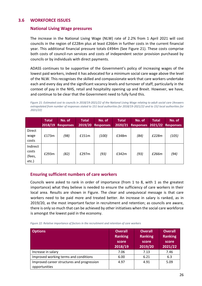## <span id="page-25-1"></span><span id="page-25-0"></span>**3.6 WORKFORCE ISSUES**

## **National Living Wage pressures**

The increase in the National Living Wage (NLW) rate of 2.2% from 1 April 2021 will cost councils in the region of £228m plus at least £266m in further costs in the current financial year. This additional financial pressure totals £494m (See Figure 21). These costs comprise both costs of council-run services and costs of independent sector provision purchased by councils or by individuals with direct payments.

ADASS continues to be supportive of the Government's policy of increasing wages of the lowest paid workers, indeed it has advocated for a minimum social care wage above the level of the NLW. This recognises the skilled and compassionate work that care workers undertake each and every day and the significant vacancy levels and turnover of staff, particularly in the context of pay in the NHS, retail and hospitality opening up and Brexit. However, we have, and continue to be clear that the Government need to fully fund this.

*Figure 21: Estimated cost to councils in 2018/19-2021/22 of the National Living Wage relating to adult social care (Answers extrapolated from number of responses stated to 151 local authorities for 2018/19-2021/22 and to 152 local authorities for 2021/22)* 

|                                      | <b>Total</b><br>2018/19 | No. of<br><b>Responses</b> | <b>Total</b><br>2019/20 | No. of<br><b>Responses</b> | <b>Total</b><br>2020/21 | No. of<br><b>Responses</b> | <b>Total</b><br>2021/22 | No. of<br><b>Responses</b> |
|--------------------------------------|-------------------------|----------------------------|-------------------------|----------------------------|-------------------------|----------------------------|-------------------------|----------------------------|
| Direct<br>wage<br>costs              | £173m                   | (98)                       | £151m                   | (100)                      | £348m                   | (84)                       | £228m                   | (105)                      |
| Indirect<br>costs<br>(fees,<br>etc.) | £293m                   | (82)                       | £297m                   | (93)                       | £342m                   | (93)                       | £266m                   | (94)                       |

## <span id="page-25-2"></span>**Ensuring sufficient numbers of care workers**

Councils were asked to rank in order of importance (from 1 to 8, with 1 as the greatest importance) what they believe is needed to ensure the sufficiency of care workers in their local area. Results are shown in [Figure.](#page-25-3) The clear and unequivocal message is that care workers need to be paid more and treated better. An increase in salary is ranked, as in 2019/20, as the most important factor in recruitment and retention; as councils are aware, there is only so much that can be achieved by other initiatives when the social care workforce is amongst the lowest paid in the economy.

<span id="page-25-3"></span>*Figure 22: Relative importance of factors in the recruitment and retention of care workers*

| <b>Options</b>                                              | <b>Overall</b><br><b>Ranking</b><br>score<br>2018/19 | <b>Overall</b><br><b>Ranking</b><br>score<br>2019/20 | <b>Overall</b><br><b>Ranking</b><br>score<br>2021/22 |
|-------------------------------------------------------------|------------------------------------------------------|------------------------------------------------------|------------------------------------------------------|
| Increase in salary                                          | 7.06                                                 | 7.13                                                 | 7.46                                                 |
| Improved working terms and conditions                       | 6.00                                                 | 6.21                                                 | 6.3                                                  |
| Improved career structures and progression<br>opportunities | 4.97                                                 | 4.91                                                 | 5.09                                                 |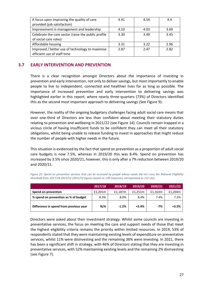| A focus upon improving the quality of care          | 4.41 | 4.54 | 4.4  |
|-----------------------------------------------------|------|------|------|
| provided (job satisfaction)                         |      |      |      |
| Improvement in management and leadership            | 4.10 | 4.03 | 3.69 |
| Celebrate the care sector (raise the public profile | 3.30 | 3.49 | 3.45 |
| of social care roles)                               |      |      |      |
| Affordable housing                                  | 3.31 | 3.22 | 2.96 |
| Improved / better use of technology to maximise     | 2.87 | 2.47 | 2.82 |
| efficient use of staff time                         |      |      |      |

## <span id="page-26-0"></span>**3.7 EARLY INTERVENTION AND PREVENTION**

There is a clear recognition amongst Directors about the importance of investing in prevention and early intervention, not only to deliver savings, but most importantly to enable people to live to independent, connected and healthier lives for as long as possible. The importance of increased prevention and early intervention to delivering savings was highlighted earlier in this report, where nearly three-quarters (73%) of Directors identified this as the second most important approach to delivering savings (See Figure 9).

However, the reality of the ongoing budgetary challenges facing adult social care means that over one-third of Directors are less than confident about meeting their statutory duties relating to prevention and wellbeing in 2021/22 (see Figure 14). Councils remain trapped in a vicious circle of having insufficient funds to be confident they can meet all their statutory obligations, whilst being unable to release funding to invest in approaches that might reduce the number of people with higher needs in the future.

This situation is evidenced by the fact that spend on prevention as a proportion of adult social care budgets is now 7.5%, whereas in 2019/20 this was 8.4%. Spend on prevention has increased by 3.5% since 2020/21, however, this is only after a 7% reduction between 2019/20 and 2020/21.

|                                        | 2017/18 | 2018/19 | 2019/20 | 2020/21 | 2021/22 |
|----------------------------------------|---------|---------|---------|---------|---------|
| Spend on prevention                    | £1,201m | £1,187m | £1.251m | £1,163m | £1,204m |
| % spend on prevention as % of budget   | 8.3%    | $8.0\%$ | 8.4%    | 7.4%    | 7.5%    |
| Difference in spend from previous year | N/A     | $-1.2%$ | $+5.4%$ | -7%     | $+3.5%$ |

*Figure 23: Spend on prevention services that can be accessed by people whose needs did not cross the National Eligibility threshold from 2017/18-2021/22 (2021/22 figures based on 128 responses, extrapolated to 152 LAs)*

Directors were asked about their investment strategy. Whilst some councils are investing in preventative services, the focus on meeting the care and support needs of those that meet the highest eligibility criteria remains the priority within limited resources. In 2019, 53% of respondents stated that they were maintaining existing levels of expenditure on preventative services, whilst 11% were disinvesting and the remaining 36% were investing. In 2021, there has been a significant shift in strategy, with 46% of Directors stating that they are investing in preventative services, with 52% maintaining existing levels and the remaining 2% disinvesting (see [Figure 7\)](#page-27-0).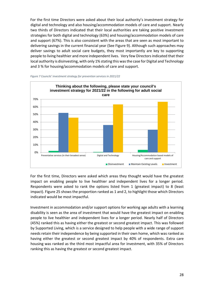For the first time Directors were asked about their local authority's investment strategy for digital and technology and also housing/accommodation models of care and support. Nearly two thirds of Directors indicated that their local authorities are taking positive investment strategies for both digital and technology (63%) and housing/accommodation models of care and support (67%). This is also consistent with the areas that are seen as most important to delivering savings in the current financial year (See Figure 9). Although such approaches may deliver savings to adult social care budgets, they most importantly are key to supporting people to living healthier and more independent lives. Very few Directors indicated that their local authority is disinvesting, with only 1% stating this was the case for Digital and Technology and 3 % for housing/accommodation models of care and support.

<span id="page-27-0"></span>



For the first time, Directors were asked which areas they thought would have the greatest impact on enabling people to live healthier and independent lives for a longer period. Respondents were asked to rank the options listed from 1 (greatest impact) to 8 (least impact). Figure 25 shows the proportion ranked as 1 and 2, to highlight those which Directors indicated would be most impactful.

Investment in accommodation and/or support options for working age adults with a learning disability is seen as the area of investment that would have the greatest impact on enabling people to live healthier and independent lives for a longer period. Nearly half of Directors (45%) ranked this as having either the greatest or second greatest impact. This was followed by Supported Living, which is a service designed to help people with a wide range of support needs retain their independence by being supported in their own home, which was ranked as having either the greatest or second greatest impact by 40% of respondents. Extra care housing was ranked as the third most impactful area for investment, with 35% of Directors ranking this as having the greatest or second greatest impact.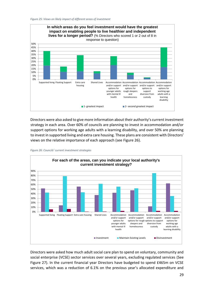

Directors were also asked to give more information about their authority's current investment strategy in each area. Over 60% of councils are planning to invest in accommodation and/or support options for working age adults with a learning disability, and over 50% are planning to invest in supported living and extra care housing. These plans are consistent with Directors' views on the relative importance of each approach (see Figure 26).



*Figure 26: Councils' current investment strategies*

Directors were asked how much adult social care plan to spend on voluntary, community and social enterprise (VCSE) sector services over several years, excluding regulated services (See Figure 27). In the current financial year Directors have budgeted to spend £465m on VCSE services, which was a reduction of 6.1% on the previous year's allocated expenditure and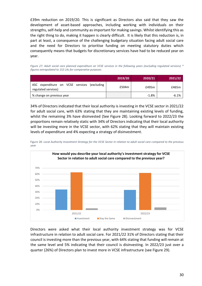£39m reduction on 2019/20. This is significant as Directors also said that they saw the development of asset-based approaches, including working with individuals on their strengths, self-help and community as important for making savings. Whilst identifying this as the right thing to do, making it happen is clearly difficult. It is likely that this reduction is, in part at least, a consequence of the challenging budgetary situation facing adult social care and the need for Directors to prioritise funding on meeting statutory duties which consequently means that budgets for discretionary services have had to be reduced year on year.

*Figure 27: Adult social care planned expenditure on VCSE services in the following years (excluding regulated services) \* figures extrapolated to 152 LAs for comparative purposes*

|                                                                    | 2019/20 | 2020/21 | 2021/22 |
|--------------------------------------------------------------------|---------|---------|---------|
| ASC expenditure on VCSE services (excluding<br>regulated services) | £504m   | £495m   | £465m   |
| % change on previous year                                          |         | $-1.8%$ | $-6.1%$ |

34% of Directors indicated that their local authority is investing in the VCSE sector in 2021/22 for adult social care, with 63% stating that they are maintaining existing levels of funding, whilst the remaining 3% have disinvested (See Figure 28). Looking forward to 2022/23 the proportions remain relatively static with 34% of Directors indicating that their local authority will be investing more in the VCSE sector, with 62% stating that they will maintain existing levels of expenditure and 4% expecting a strategy of disinvestment.



Figure 28: *Local Authority Investment Strategy for the VCSE Sector in relation to adult social care compared to the previous year*

Directors were asked what their local authority investment strategy was for VCSE infrastructure in relation to adult social care. For 2021/22 31% of Directors stating that their council is investing more than the previous year, with 64% stating that funding will remain at the same level and 5% indicating that their council is disinvesting. In 2022/23 just over a quarter (26%) of Directors plan to invest more in VCSE infrastructure (see Figure 29).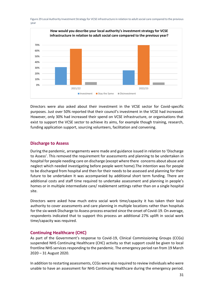

Figure 29 Local Authority Investment Strategy for VCSE infrastructure in relation to adult social care compared to the previous year

Directors were also asked about their investment in the VCSE sector for Covid-specific purposes. Just over 50% reported that their council's investment in the VCSE had increased. However, only 30% had increased their spend on VCSE infrastructure, or organisations that exist to support the VCSE sector to achieve its aims, for example though training, research, funding application support, sourcing volunteers, facilitation and convening.

## <span id="page-30-0"></span>**Discharge to Assess**

During the pandemic, arrangements were made and guidance issued in relation to 'Discharge to Assess'. This removed the requirement for assessments and planning to be undertaken in hospital for people needing care on discharge (except where there concerns about abuse and neglect which needed investigating before people went home).The intention was for people to be discharged from hospital and then for their needs to be assessed and planning for their future to be undertaken It was accompanied by additional short term funding. There are additional costs and staff time required to undertake assessment and planning in people's homes or in multiple intermediate care/ reablement settings rather than on a single hospital site.

Directors were asked how much extra social work time/capacity it has taken their local authority to cover assessments and care planning in multiple locations rather than hospitals for the six-week Discharge to Assess process enacted since the onset of Covid-19. On average, respondents indicated that to support this process an additional 27% uplift in social work time/capacity was required.

## <span id="page-30-1"></span>**Continuing Healthcare (CHC)**

As part of the Government's response to Covid-19, Clinical Commissioning Groups (CCGs) suspended NHS Continuing Healthcare (CHC) activity so that support could be given to local frontline NHS services responding to the pandemic. The emergency period ran from 19 March 2020 – 31 August 2020.

In addition to restarting assessments, CCGs were also required to review individuals who were unable to have an assessment for NHS Continuing Healthcare during the emergency period.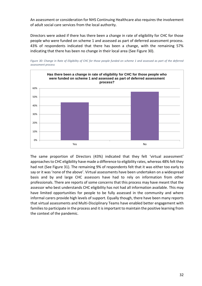An assessment or consideration for NHS Continuing Healthcare also requires the involvement of adult social care services from the local authority.

Directors were asked if there has there been a change in rate of eligibility for CHC for those people who were funded on scheme 1 and assessed as part of deferred assessment process. 43% of respondents indicated that there has been a change, with the remaining 57% indicating that there has been no change in their local area (See Figure 30).



*Figure 30: Change in Rate of Eligibility of CHC for those people funded on scheme 1 and assessed as part of the deferred assessment process*

The same proportion of Directors (43%) indicated that they felt 'virtual assessment' approaches to CHC eligibility have made a difference to eligibility rates, whereas 48% felt they had not (See Figure 31). The remaining 9% of respondents felt that it was either too early to say or it was 'none of the above'. Virtual assessments have been undertaken on a widespread basis and by and large CHC assessors have had to rely on information from other professionals. There are reports of some concerns that this process may have meant that the assessor who best understands CHC eligibility has not had all information available. This may have limited opportunities for people to be fully assessed in the community and where informal carers provide high levels of support. Equally though, there have been many reports that virtual assessments and Multi-Disciplinary Teams have enabled better engagement with families to participate in the process and it is important to maintain the positive learning from the context of the pandemic.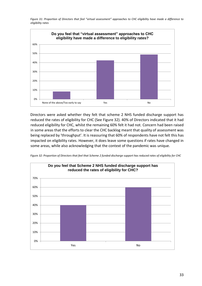*Figure 31: Proportion of Directors that feel "virtual assessment" approaches to CHC eligibility have made a difference to eligibility rates*



Directors were asked whether they felt that scheme 2 NHS funded discharge support has reduced the rates of eligibility for CHC (See Figure 32). 40% of Directors indicated that it had reduced eligibility for CHC, whilst the remaining 60% felt it had not. Concern had been raised in some areas that the efforts to clear the CHC backlog meant that quality of assessment was being replaced by 'throughput'. It is reassuring that 60% of respondents have not felt this has impacted on eligibility rates. However, it does leave some questions if rates have changed in some areas, while also acknowledging that the context of the pandemic was unique.



*Figure 32: Proportion of Directors that feel that Scheme 2 funded discharge support has reduced rates of eligibility for CHC*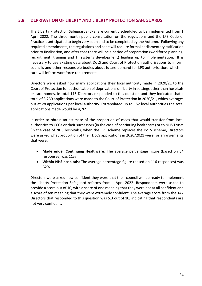## <span id="page-33-0"></span>**3.8 DEPRIVATION OF LIBERTY AND LIBERTY PROTECTION SAFEGUARDS**

The Liberty Protection Safeguards (LPS) are currently scheduled to be implemented from 1 April 2022. The three-month public consultation on the regulations and the LPS Code of Practice is anticipated to begin very soon and to be completed by the Autumn. Following any required amendments, the regulations and code will require formal parliamentary ratification prior to finalisation, and after that there will be a period of preparation (workforce planning, recruitment, training and IT systems development) leading up to implementation. It is necessary to use existing data about DoLS and Court of Protection authorisations to inform councils and other responsible bodies about future demand for LPS authorisation, which in turn will inform workforce requirements.

Directors were asked how many applications their local authority made in 2020/21 to the Court of Protection for authorisation of deprivations of liberty in settings other than hospitals or care homes. In total 115 Directors responded to this question and they indicated that a total of 3,230 applications were made to the Court of Protection in 2020/21, which averages out at 28 applications per local authority. Extrapolated up to 152 local authorities the total applications made would be 4,269.

In order to obtain an estimate of the proportion of cases that would transfer from local authorities to CCGs or their successors (in the case of continuing healthcare) or to NHS Trusts (in the case of NHS hospitals), when the LPS scheme replaces the DoLS scheme, Directors were asked what proportion of their DoLS applications in 2020/2021 were for arrangements that were:

- **Made under Continuing Healthcare**: The average percentage figure (based on 84 responses) was 11%
- **Within NHS hospitals:** The average percentage figure (based on 116 responses) was 32%

Directors were asked how confident they were that their council will be ready to implement the Liberty Protection Safeguard reforms from 1 April 2022. Respondents were asked to provide a score out of 10, with a score of one meaning that they were not at all confident and a score of ten meaning that they were extremely confident. The average score from the 142 Directors that responded to this question was 5.3 out of 10, indicating that respondents are not very confident.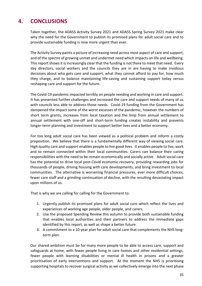# <span id="page-34-0"></span>**4. CONCLUSIONS**

Taken together, the ADASS Activity Survey 2021 and ADASS Spring Survey 2021 make clear why the need for the Government to publish its promised plans for adult social care and to provide sustainable funding is now more urgent than ever.

The Activity Survey paints a picture of increasing need across most aspect of care and support, and of the spectre of growing unmet and undermet need which impacts on life and wellbeing. This report shows it is increasingly clear that the funding is not there to meet that need. Every day directors, social workers and the councils they are in are having to make invidious decisions about who gets care and support, what they cannot afford to pay for, how much they charge, and to balance maintaining life-saving and sustaining support today versus reshaping care and support for the future.

The Covid-19 pandemic impacted terribly on people needing and working in care and support. It has presented further challenges and increased the care and support needs of many of us with councils less able to address those needs. Covid-19 funding from the Government has dampened the impact some of the worst excesses of the pandemic, however the numbers of short term grants, increases from local taxation and the limp from annual settlement to annual settlement with one-off and short-term funding creates instability and prevents longer-term planning and investment to support better lives and a better economy.

For too long adult social care has been viewed as a political problem and reform a costly proposition. We believe that there is a fundamentally different way of viewing social care. High quality care and support enables people to live good lives. It enables people to live, work and to remain connected within their local communities. Carers can balance their caring responsibilities with the need to be remain economically and socially active. Adult social care has the potential to drive local post-Covid economic recovery, providing rewarding jobs for thousands of people, driving housing with care developments, and bring investment to local communities. The alternative is worsening financial pressures, ever more difficult choices, fewer care staff and a grinding continuation of decline, with the resulting devastating impact upon millions of us.

That is why we are calling for calling for the Government to:

- 1. Urgently publish its promised plans for adult social care which reflect the lives and experiences of working age people, older people, and carers.
- 2. Use the proposed Spending Review this autumn to provide both sustainable funding that enables local authorities and their partners to address the immediate gaps identified by this report, as well as shape a better future.
- 3. A commitment to a 10-year plan for adult social care that complements the NHS longterm plan.

Our shared ambition must be for many more people to be able to access care, support and safeguards at home, with fewer people living in care homes and other residential settings, fewer people with learning disabilities or mental ill health in prisons and a greater prioritisation of early interventions and support. At the moment the NHS is prioritising supporting hospitals to recover surgical activity as we collectively emerge into the next phase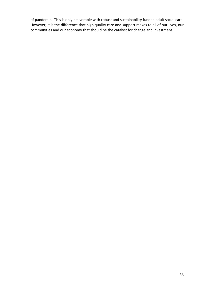of pandemic. This is only deliverable with robust and sustainability funded adult social care. However, it is the difference that high quality care and support makes to all of our lives, our communities and our economy that should be the catalyst for change and investment.